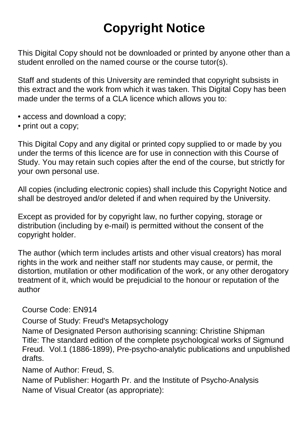# **Copyright Notice**

This Digital Copy should not be downloaded or printed by anyone other than a student enrolled on the named course or the course tutor(s).

Staff and students of this University are reminded that copyright subsists in this extract and the work from which it was taken. This Digital Copy has been made under the terms of a CLA licence which allows you to:

- access and download a copy;
- print out a copy;

This Digital Copy and any digital or printed copy supplied to or made by you under the terms of this licence are for use in connection with this Course of Study. You may retain such copies after the end of the course, but strictly for your own personal use.

All copies (including electronic copies) shall include this Copyright Notice and shall be destroyed and/or deleted if and when required by the University.

Except as provided for by copyright law, no further copying, storage or distribution (including by e-mail) is permitted without the consent of the copyright holder.

The author (which term includes artists and other visual creators) has moral rights in the work and neither staff nor students may cause, or permit, the distortion, mutilation or other modification of the work, or any other derogatory treatment of it, which would be prejudicial to the honour or reputation of the author

## Course Code: EN914

Course of Study: Freud's Metapsychology

Name of Designated Person authorising scanning: Christine Shipman Title: The standard edition of the complete psychological works of Sigmund Freud. Vol.1 (1886-1899), Pre-psycho-analytic publications and unpublished drafts.

Name of Author: Freud, S.

Name of Publisher: Hogarth Pr. and the Institute of Psycho-Analysis Name of Visual Creator (as appropriate):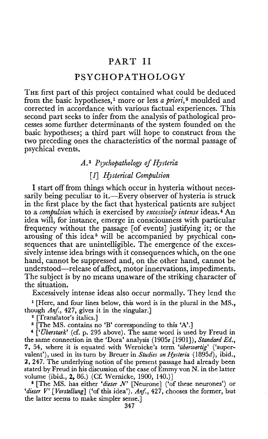# PART II

## PSYCHOPATHOLOGY

THE first part of this project contained what could be deduced from the basic hypotheses,<sup>1</sup> more or less *a priori*,<sup>2</sup> moulded and corrected in accordance with various factual experiences. This second part seeks to infer from the analysis of pathological processes some further determinants of the system founded on the basic hypotheses; a third part will hope to construct from the two preceding ones the characteristics of the normal passage of psychical events.

## *A.3 Psychopathology* of *Hysteria*

## [1J *Hysterical Compulsion*

I start off from things which occur in hysteria without necessarily being peculiar to it.—Every observer of hysteria is struck in the first place by the fact that hysterical patients are subject to a *compulsion* which is exercised by *excessively intense* ideas. 4 An idea will, for instance, emerge in consciousness with particular frequency without the passage [of events] justifying it; or the arousing of this idea<sup>5</sup> will be accompanied by psychical consequences that are unintelligible. The emergence of the excessively intense idea brings with it consequences which, on the one hand, cannot be suppressed and, on the other hand, cannot be understood—release of affect, motor innervations, impediments. The subject is by no means unaware of the striking character of the situation.

Excessively intense ideas also occur normally. They lend the <sup>1</sup> [Here, and four lines below, this word is in the plural in the MS., though *Anj.,* 427, gives it in the singular.]

<sup>2</sup> [Translator's italics.]

3 [The MS. contains no 'B' corresponding to this 'A'.]

*, ['Oberstark'* (cf. p. 295 above). The same word is used by Freud in the same connection in the 'Dora' analysis (1905e [1901]), *Standard Ed.,*  7, 54, where it is equated with Wernicke's term *'iiberwertig'* ('supervalent'), used in its turn by Breuer in *Studies on Hysteria (1895d),* ibid., 2, 247. The underlying notion of the present passage had already been stated by Freud in his discussion of the case of Emmy von N. in the latter volume (ibid., 2, 86.) (Cf. Wernicke, 1900, 140.)]

<sup>6</sup> [The MS. has either 'dieser N' [Neurone] ('of these neurones') or 'dieser V' [Vorstellung] ('of this idea'). *Anf.*, 427, chooses the former, but the latter seems to make simpler sense.]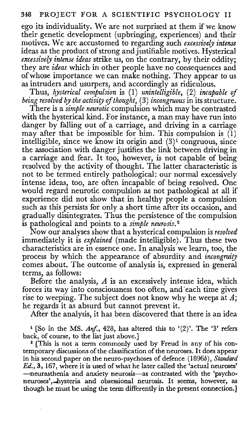ego its individuality. We are not surprised at them if we know their genetic development (upbringing, experiences) and their motives. We are accustomed to regarding such *excessively intense*  ideas as the product of strong and justifiable motives. Hysterical *excessively intense ideas* strike us, on the contrary, by their oddity; they are *ideas* which in other people have no consequences and ofwhose importance we can make nothing. They appear to us as intruders and usurpers, and accordingly as ridiculous.

Thus, *hysterical compulsion* is (I) *unintelligible,* (2) *incapable* of *being resolved by the activity* of*thought,* (3) *incongruous* in its structure.

There is a *simple neurotic* compulsion which may be contrasted with the hysterical kind. For instance, a man may have run into danger by falling out of a carriage, and driving in a carriage may after that be impossible for him. This compulsion is  $(1)$ intelligible, since we know its origin and  $(3)^1$  congruous, since the association with danger justifies the link between driving in a carriage and fear. It too, however, is not capable of being resolved by the activity of thought. The latter characteristic is not to be termed entirely pathological: our normal excessively intense ideas, too, are often incapable of being resolved. One would regard neurotic compulsion as not pathological at all if experience did not show that in healthy people a compulsion such as this persists for only a short time after its occasion, and gradually disintegrates. Thus the persistence of the compulsion is pathological and points to a *simple neurosis.* <sup>2</sup>

Now our analyses show that a hysterical compulsion is *resolved*  immediately it is *explained* (made intelligible). Thus these two characteristics are in essence one. In analysis we learn, too, the process by which the appearance of absurdity and *incongruity*  comes about. The outcome of analysis is, expressed in general terms, as follows:

Before the analysis,  $A$  is an excessively intense idea, which forces its way in to consciousness too often, and'each time gives rise to weeping. The subject does not know why he weeps at  $A$ ; he regards it as absurd but cannot prevent it.

After the analysis, it has been discovered that there is an idea

<sup>1</sup> [So in the MS. Anf., 428, has altered this to '(2)'. The '3' refers back, of course, to the list just above.]

<sup>2</sup> [This is not a term commonly used by Freud in any of his contemporary discussions of the classification of the neuroses. It does appear in his second paper on the neuro-psychoses of defence *(l896b), Standard*   $Ed$ , 3, 167, where it is used of what he later called the 'actual neuroses' -neurasthenia and anxiety neurosis~as contrasted with the 'psychoneuroses',-hysteria and obsessional neurosis. It seems, however, as though he must be using the term differently in the present connection.]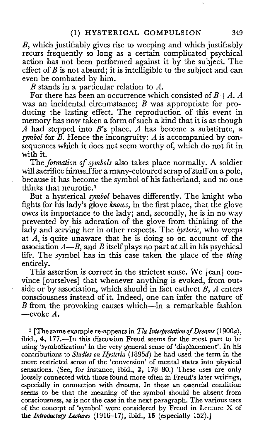B, which justifiably gives rise to weeping and which justifiably recurs frequently so long as a certain complicated psychical action has not been performed against it by the subject. The effect of  $B$  is not absurd; it is intelligible to the subject and can even be combated by him.

 $B$  stands in a particular relation to  $A$ .

For there has been an occurrence which consisted of*B +A. A*  was an incidental circumstance; *B* was appropriate for producing the lasting effect. The reproduction of this event in memory has now taken a form of such a kind that it is as though *A* had stepped into *B's* place. *A* has become a substitute, a *symbol* for *B.* Hence the incongruity: *A* is accompanied by consequences which it does not seem worthy of, which do not fit in with it.

The *formation of symbols* also takes place normally. A soldier will sacrifice himself for a many-coloured scrap of stuff on a pole, because it has become the symbol of his fatherland, and no one thinks that neurotic.<sup>1</sup>

But a hysterical *symbol* behaves differently. The knight who fights for his lady's glove *knows,* in the first place, that the glove owes its importance to the lady; and, secondly, he is in no way prevented by his adoration of the glove from thinking of the lady and serving her in other respects. The *hysteric,* who weeps at  $\tilde{A}$ , is quite unaware that he is doing so on account of the association  $A$ —B, and B itself plays no part at all in his psychical life. The symbol has in this case taken the place of the *thing*  entirely.

This assertion is correct in the strictest sense. We [can] convince [ourselves] that whenever anything is evoked, from outside or by association, which should in fact cathect  $B$ ,  $A$  enters consciousness instead of it. Indeed, one can infer the nature of *B* from the provoking causes which-in a remarkable fashion  $\equiv$ evoke A.

<sup>1</sup> [The same example re-appears in *The Interpretation of Dreams* (1900a), ibid., **4**, 177.—In this discussion Freud seems for the most part to be using 'symbolization' in the very general sense of 'displacement'. In his contributions to *Studies on Hysteria (IB95d)* he had used the term in the more restricted sense of the 'conversion' of mental states into physical sensations. (See, for instance, ibid., 2, 178-80.) These uses are only loosely connected with those found more often in Freud's later writings, especiaUy in connection with dreams. In these an essential condition seems to be that the meaning of the symbol should be absent from consciousness, as is not the case in the next paragraph. The various uses of the concept of 'symbol' were considered by Freud in Lecture X of the *Introductory Lectures* (1916-17), ibid., 15 (especially 152).]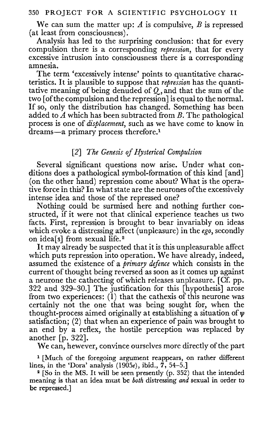#### 350 PROJECT FOR A SCIENTIFIC PSYCHOLOGY 11

We can sum the matter up: *A* is compulsive, *B* is repressed (at least from consciousness).

Analysis has led to the surprising conclusion: that for every compulsion there is a corresponding *repression,* that for every excessive intrusion into consciousness there is a corresponding amnesia.

The term 'excessively intense' points to quantitative characteristics. **It** is plausible to suppose that *repression* has the quantitative meaning of being denuded of Q, and that the sum of the two [ofthe compulsion and the repression] is equal to the normal. If so, only the distribution has changed. Something has been added to  $\vec{A}$  which has been subtracted from  $\vec{B}$ . The pathological process is one of *displacement,* such as we have come to know in dreams-a primary process therefore.<sup>1</sup>

## *[2] The Genesis of Hysterical Compulsion*

Several significant questions now arise. Under what conditions does a pathological symbol-formation of this kind [and] (on the other hand) repression come about? What is the operative force in this? **In** what state are the neurones ofthe excessively intense idea and those of the repressed one?

Nothing could be surmised here and nothing further constructed, if it were not that clinical experience teaches us two facts. First, repression is brought to bear invariably on ideas which evoke a distressing affect (unpleasure) in the *ego,* secondly on idea[s] from sexual life. 2

It may already be suspected that it is this unpleasurable affect which puts repression into operation. We have already, indeed, assumed the existence of a *primary defence* which consists in the current of thought being reversed as soon as it comes up against a neurone the cathecting of which releases unpleasure. [Cf. pp. 322 and 329-30.] The justification for this [hypothesis] arose from two experiences: (1) that the cathexis of this neurone was certainly not the one that was being sought for, when the thought-process aimed originally at establishing a situation of  $\psi$ satisfaction;  $(2)$  that when an experience of pain was brought to an end by a reflex, the hostile perception was replaced by another  $[p. 322]$ .

We can, hewever, convince ourselves more directly of the part

1 [Much of the foregoing argument reappears, on rather different lines, in the 'Dora' analysis  $(1905e)$ , ibid., 7, 54-5.]

2 [So in the MS. It will be seen presently (p. 352) that the intended meaning is that an idea must be *both* distressing *and* sexual in order to be repressed.]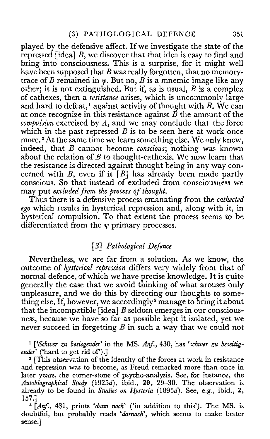played by the defensive affect. If we investigate the state of the repressed [idea] B, we discover that that idea is easy to find and bring into consciousness. This is a surprise, for it might well have been supposed that B was really forgotten, that no memorytrace of *B* remained in  $\psi$ . But no,  $\vec{B}$  is a mnemic image like any other; it is not extinguished. But if, as is usual,  $B$  is a complex of cathexes, then a *resistance* arises, which is uncommonly large and hard to defeat,<sup>1</sup> against activity of thought with  $B$ . We can at once recognize in this resistance against  $\tilde{B}$  the amount of the *compulsion* exercised by *A,* and we may conclude that the force which in the past repressed  $B$  is to be seen here at work once more.<sup>2</sup> At the same time we learn something else. We only knew, indeed, that *B* cannot become *conscious;* nothing was known about the relation of  $B$  to thought-cathexis. We now learn that the resistance is directed against thought being in any way concerned with B, even if it  $[B]$  has already been made partly conscious. So that instead of excluded from consciousness we may put *excluded from the process of thought*.

Thus there is a defensive process emanating from the *cathected ego* which results in hysterical repression and, along with it, in hysterical compulsion. To that extent the process seems to be differentiated from the  $\psi$  primary processes.

## *[3] Pathological Defence*

Nevertheless, we are far from a solution. As we know, the outcome of *hysterical repression* differs very widely from that of normal defence, of which we have precise knowledge. It is quite generally the case that we avoid thinking of what arouses only unpleasure, and we do this by directing our thoughts to something else. If, however, we accordingly<sup>3</sup> manage to bring it about that the incompatible  $\lceil$ idea $\rceil$  B seldom emerges in our consciousness, because we have so far as possible kept it isolated, yet we never succeed in forgetting *B* in such a way that we could not

<sup>1</sup> ['Schwer zu besiegender' in the MS. Anf., 430, has 'schwer zu beseitig*ender'* ('hard to get rid of').]

<sup>2</sup> [This observation of the identity of the forces at work in resistance and repression was to become, as Freud remarked more than once in later years, the corner-stone of psycho-analysis. See, for instance, the *Autobiographical Stuq, (1925d),* ibid., 20, 29-30. The observation is already to be found in *Studies on Hysteria (1895d).* See, e.g., ibid., 2, 157.]

<sup>3</sup> [Anf., 431, prints 'dann noch' ('in addition to this'). The MS. is doubtful, but probably reads *'darnach',* which seems to make better sense.]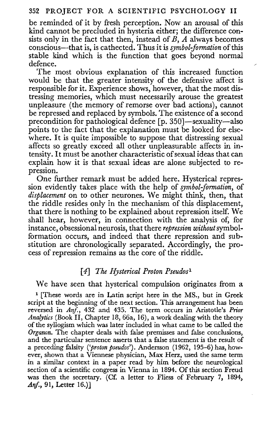be reminded of it by fresh perception. Now an arousal of this kind cannot be precluded in hysteria either; the difference consists only in the fact that then, instead of  $B$ ,  $A$  always becomes conscious-that is, is cathected. Thus it is *symbol-Jormation* ofthis stable kind which is the function that goes beyond normal defence.

The most obvious explanation of this increased function would be that the greater intensity of the defensive affect is responsible for it. Experience shows, however, that the most distressing memories, which must necessarily arouse the greatest unpleasure (the memory of remorse over bad actions), cannot be repressed and replaced by symbols. The existence of a second precondition for pathological defence  $[p. 350]$ —sexuality—also points to the fact that the explanation must be looked for elsewhere. It is quite impossible to suppose that distressing sexual affects so greatly exceed all other unpleasurable affects in intensity. It must be another characteristic ofsexual ideas that can explain how it is that sexual ideas are alone subjected to repression.

One further remark must be added here. Hysterical repression evidently takes place with the help of symbol-formation, of *displacement* on to other neurones. We might think, then, that the riddle resides only in the mechanism of this displacement, that there is nothing to be explained about repression itself. We shall hear, however, in connection with the analysis of, for instance, obsessional neurosis, that there *repression without* symbolformation occurs, and indeed that there repression and substitution are chronologically separated. Accordingly, the process of repression remains as the core of the riddle.

## *[4] The Hysterical Proton Pseudos*<sup>1</sup>

We have seen that hysterical compulsion originates from a

<sup>1</sup> [These words are in Latin script here in the MS., but in Greek script at the beginning of the next section. This arrangement has been reversed in *Anf.*, 432 and 435. The term occurs in Aristotle's *Prior Anarytics* (Book II, Chapter 18, 66a, 16), a work dealing with the theory of the syllogism which was later included in what came to be called the *Organon.* The chapter deals with false premisses and false conclusions, and the particular sentence asserts that a false statement is the result of a preceding falsity *('proton pseudos').* Andersson (1962, 195-6) has, however, shown that a Viennese physician, Max Herz, used the same term in a similar context in a paper read by him before the neurological section of a scientific congress in Vienna in 1894. Of this section Freud was then the secretary. (Cf. a letter to Fliess of February 7, 1894, *Anf.*, 91, Letter 16.)]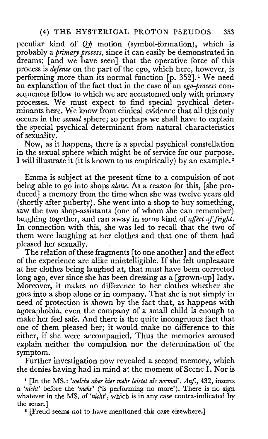peculiar kind of  $Q_{\eta}$ <sup>*n*</sup> motion (symbol-formation), which is probably a *primary process,* since it can easily be demonstrated in dreams; [and we have seen] that the operative force of this process is *difence* on the part of the ego, which here, however, is performing more than its normal function  $[p, 352]$ .<sup>1</sup> We need an explanation of the fact that in the case of an *ego-process* consequences follow to which we are accustomed only with primary processes. We must expect to find special psychical determinants here. We know from clinical evidence that all this only occurs in the *sexual* sphere; so perhaps we shall have to explain the special psychical determinant from natural characteristics of sexuality.

Now, as it happens, there is a special psychical constellation in the sexual sphere which might be of service for our purpose. I will illustrate it (it is known to us empirically) by an example.<sup>2</sup>

Emma is subject at the present time to a compulsion of not being able to go into shops *alone.* As a reason for this, [she produced] a memory from the time when she was twelve years old (shortly after puberty). She went into a shop to buy something, saw the two shop-assistants (one of whom she can remember) laughing together, and ran away in some kind of *affect of fright*. In connection with this, she was led to recall that the two of them were laughing at her clothes and that one of them had pleased her sexually.

The relation ofthese fragments [to one another] and the effect of the experience are alike unintelligible. If she felt unpleasure at her clothes being laughed at, that must have been corrected long ago, ever since she has been dressing as a [grown-up] lady. Moreover, it makes no difference to her clothes whether she goes into a shop alone or in company. That she is not simply in need of protection is shown by the fact that, as happens with agoraphobia, even the company of a small child is enough to make her feel safe. And there is the quite incongruous fact that one of them pleased her; it would make no difference to this either, if she were accompanied. Thus the memories aroused explain neither the compulsion nor the determination of the symptom.

Further investigation now revealed a second memory, which she denies having had in mind at the moment of Scene I. Nor is

1 [In the MS.: *'welche aber hier mehr leistet als normal'. Anj.,* 432, inserts a *'nicht'* before the *'mehr'* ('is performing no more'). There is no sign whatever in the MS. *of'nicht',* which is in any case contra-indicated by the sense.]

a [Freud seems not to have mentioned this case elsewhere.]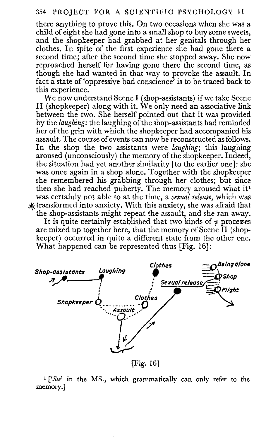there anything to prove this. On two occasions when she was a child of eight she had gone into a small shop to buy some sweets, and the shopkeeper had grabbed at her genitals through her clothes. In spite of the first experience she had gone there a second time; after the second time she stopped away. She now reproached herself for having gone there the second time, as though she had wanted in that way to provoke the assault. In fact a state of 'oppressive bad conscience' is to be traced back to this experience.

We now understand Scene I (shop-assistants) if we take Scene II (shopkeeper) along with it. We only need an associative link between the two. She herself pointed out that it was provided by the *laughing*: the laughing of the shop-assistants had reminded her of the grin with which the shopkeeper had accompanied his assault. The course of events can now be reconstructed as follows. In the shop the two assistants were *laughing;* this laughing aroused (unconsciously) the memory of the shopkeeper. Indeed, the situation had yet another similarity [to the earlier one]: she was once again in a shop alone. Together with the shopkeeper she remembered his grabbing through her clothes; but since then she had reached puberty. The memory aroused what it<sup>1</sup> was certainly not able to at the time, a *sexual release,* which was transformed into anxiety. With this anxiety, she was afraid that the shop-assistants might repeat the assault, and she ran away.

It is quite certainly established that two kinds of  $\nu$  processes are mixed up together here, that the memory of Scene  $II$  (shopkeeper) occurred in quite a different state from the other one. What happened can be represented thus [Fig. 16]:



[Fig. 16]

<sup>1</sup>*['Sic'* in the MS., which grammatically can only refer to the memory.]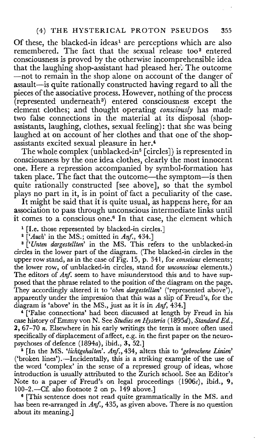Of these, the blacked-in ideas<sup>1</sup> are perceptions which are also remembered. The fact that the sexual release too<sup>2</sup> entered consciousness is proved by the otherwise incomprehensible idea that the laughing shop-assistant had pleased her. The outcome -not to remain in the shop alone on account of the danger of assault-is quite rationally constructed having regard to all the pieces of the associative process. However, nothing of the process (represented underneath<sup>3</sup>) entered consciousness except the element clothes; and thought operating *consciously* has made two false connections in the material at its disposal (shopassistants, laughing, clothes, sexual feeling): that she was being laughed at on account of her clothes and that one of the shopassistants excited sexual pleasure in her.<sup>4</sup>

The whole complex (unblacked-in<sup>5</sup> [circles]) is represented in consciousness by the one idea clothes, clearly the most innocent one. Here a repression accompanied by symbol-formation has taken place. The fact that the outcome-the symptom-is then quite rationally constructed [see above], so that the symbol plays no part in it, is in point of fact a peculiarity of the case.

It might be said that it is quite usual, as happens here, for an association to pass through unconscious intermediate links until it comes to a conscious one.<sup>6</sup> In that case, the element which

<sup>1</sup> [I.e. those represented by blacked-in circles.]

 $2^{2}$  ['Auch' in the MS.; omitted in Anf., 434.]

<sup>3</sup>*['Unten dargestellten'* in the MS. This refers to the unblacked-in circles in the lower part of the diagram. (The blacked-in circles in the upper row stand, as in the case of Fig. 15, p. 341, for *conscious* elements; the lower row, of unblacked-in circles, stand for *unconscious* elements.) The editors of *Anf.* seem to have misunderstood this and to have supposed that the phrase related to the position of the diagram on the page. They accordingly altered it to *'oben dargestellten'* ('represented above'), apparently under the impression that this was a slip of Freud's, for the diagram is 'above' in the MS., just as it is in *Anf, 434.]* 

4 ['False connections' had been discussed at length by Freud in his case history ofEmmy von N. See *Studies on Hysteria (1895d), Standard Ed., 2,67-70 n.* Elsewhere in his early writings the term is more often used specifically of displacement of affect, e.g. in the first paper on the neuropsychoses of defence (1894a), ibid., 3, 52.]

<sup>5</sup> [In the MS. 'lichtgehalten'. Anf., 434, alters this to 'gebrochene Linien' ('broken lines').—Incidentally, this is a striking example of the use of the word 'complex' in the sense of a repressed group of ideas, whose introduction is usually attributed to the Zurich school. See an Editor's Note to a paper of Freud's on legal proceedings  $(1906c)$ , ibid., 9, 100-2.—Cf. also footnote 2 on p. 149 above.]

6 [This sentence does not read quite grammatically in the MS. and has been re-arranged in *Anf.*, 435, as given above. There is no question about its meaning.]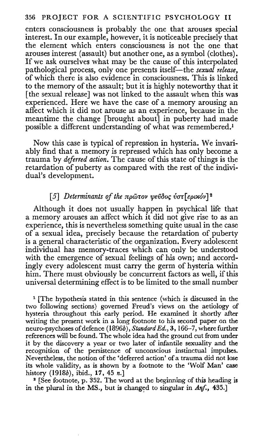enters consciousness is probably the one that arouses special interest. In our example, however, it is noticeable precisely that the element which enters consciousness is not the one that arouses interest (assault) but another one, as a symbol (clothes). Ifwe ask ourselves what may *be* the cause of this interpolated pathological process, only one presents itself—the *sexual release*, of which there is also evidence in consciousness. This is linked to the memory of the assault; but it is highly noteworthy that it [the sexual release] was not linked to the assault when this was experienced. Here we have the case of a memory arousing an affect which it did not arouse as an experience, because in the meantime the change [brought about] in puberty had made possible a different understanding of what was remembered.<sup>1</sup>

Now this case is typical of repression in hysteria. We invariably find that a memory is repressed which has only become a trauma by *diferred action.* The cause of this state of things is the retardation of puberty as compared with the rest of the individual's development.

## [5] *Determinants of the πρ*ώτον ψεΰδος ύστ[ερικόν]<sup>2</sup>

Although it does not usually happen in psychical life that a memory arouses an affect which it did not give rise to as an experience, this is nevertheless something quite usual in the case of a sexual idea, precisely because the retardation of puberty is a general characteristic of the organization. Every adolescent individual has memory-traces which can only be understood with the emergence of sexual feelings of his own; and accordingly every adolescent must carry the germ of hysteria within him. There must obviously be concurrent factors as well, if this universal determining effect is to be limited to the small number

1 [The hypothesis stated in this sentence (which is discussed in the two following sections) governed Freud's views on the aetiology of hysteria throughout this early period. He examined it shortly after writing the present work in a long footnote to his second paper on the neuro-psychoses of defence (1896b), Standard Ed., 3, 166-7, where further references will be found. The whole idea had the ground cut from under it by the discovery a year or two later of infantile sexuality and the recognition of the persistence of unconscious instinctual impulses. Nevertheless, the notion of the 'deferred action' of a trauma did not lose its whole validity, as is shown by a footnote to the 'Wolf Man' case history *(1918b),* ibid., 17,45 *n.]* 2 [See footnote, p. 352. The word at the beginning of this heading is

in the plural in the MS., but is changed to singular in *Anf.*, 435.]